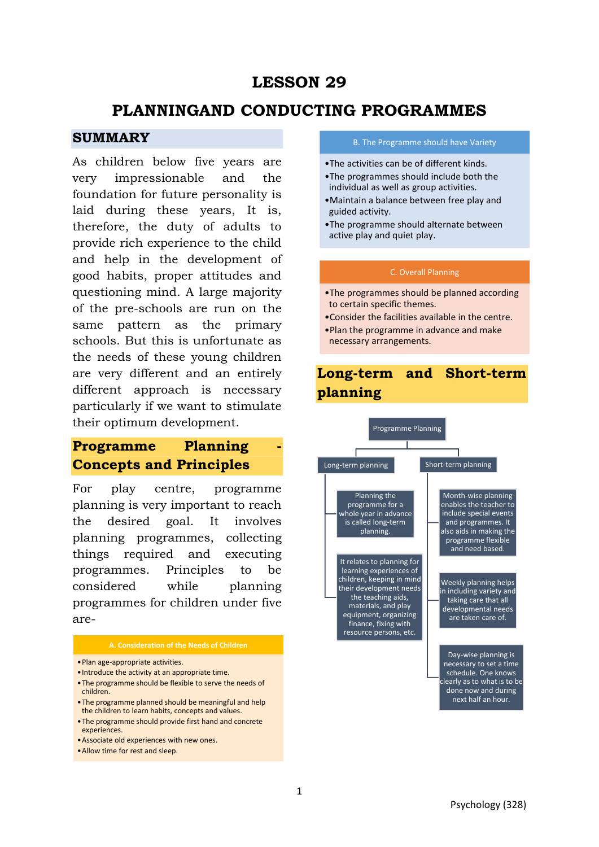# **LESSON 29**

# **PLANNINGAND CONDUCTING PROGRAMMES**

### **SUMMARY**

As children below five years are very impressionable and the foundation for future personality is laid during these years, It is, therefore, the duty of adults to provide rich experience to the child and help in the development of good habits, proper attitudes and questioning mind. A large majority of the pre-schools are run on the same pattern as the primary schools. But this is unfortunate as the needs of these young children are very different and an entirely different approach is necessary particularly if we want to stimulate their optimum development.

## **Programme Planning Concepts and Principles**

For play centre, programme planning is very important to reach the desired goal. It involves planning programmes, collecting things required and executing programmes. Principles to be considered while planning programmes for children under five are-

**A. Consideration of the Needs of Children** 

- •Plan age-appropriate activities.
- •Introduce the activity at an appropriate time.
- •The programme should be flexible to serve the needs of children.
- •The programme planned should be meaningful and help the children to learn habits, concepts and values.
- •The programme should provide first hand and concrete experiences.
- •Associate old experiences with new ones.
- •Allow time for rest and sleep.

#### B. The Programme should have Variety

- •The activities can be of different kinds.
- •The programmes should include both the individual as well as group activities.
- •Maintain a balance between free play and guided activity.
- •The programme should alternate between active play and quiet play.

#### C. Overall Planning

- •The programmes should be planned according to certain specific themes.
- •Consider the facilities available in the centre.
- •Plan the programme in advance and make necessary arrangements.

## **Long-term and Short-term planning**

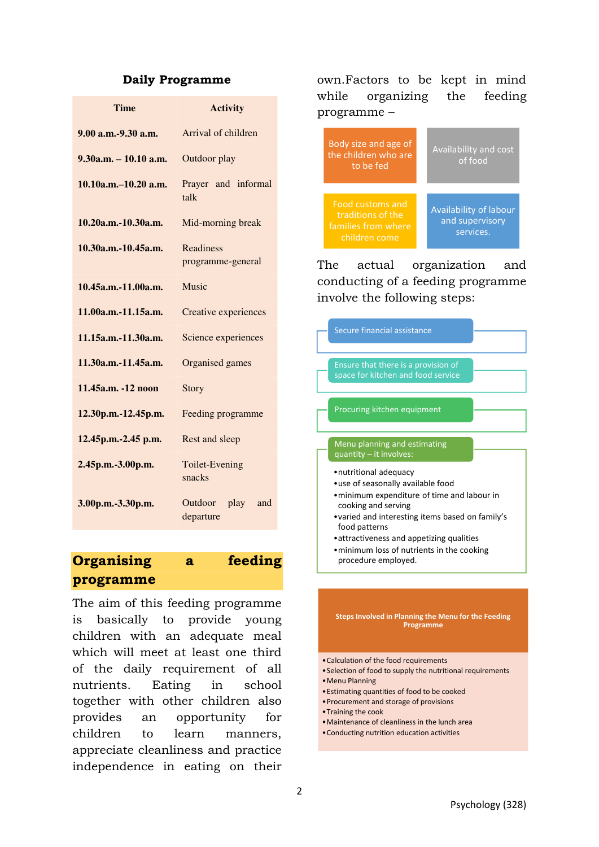### **Daily Programme**

| Time                      | <b>Activity</b>                     |
|---------------------------|-------------------------------------|
| 9.00 a.m.-9.30 a.m.       | Arrival of children                 |
| $9.30$ a.m. $-10.10$ a.m. | Outdoor play                        |
| 10.10a.m.-10.20 a.m.      | Prayer and informal<br>talk         |
| $10.20a.m.-10.30a.m.$     | Mid-morning break                   |
| 10.30a.m.-10.45a.m.       | Readiness<br>programme-general      |
| 10.45a.m.-11.00a.m.       | Music                               |
| 11.00a.m.-11.15a.m.       | Creative experiences                |
| 11.15a.m.-11.30a.m.       | Science experiences                 |
| 11.30a.m.-11.45a.m.       | Organised games                     |
| 11.45a.m. -12 noon        | Story                               |
| 12.30p.m.-12.45p.m.       | Feeding programme                   |
| 12.45p.m.-2.45 p.m.       | Rest and sleep                      |
| 2.45p.m.-3.00p.m.         | Toilet-Evening<br>snacks            |
| 3.00p.m.-3.30p.m.         | Outdoor<br>play<br>and<br>departure |

### **Organising a feeding programme**

The aim of this feeding programme is basically to provide young children with an adequate meal which will meet at least one third of the daily requirement of all nutrients. Eating in school together with other children also provides an opportunity for children to learn manners, appreciate cleanliness and practice independence in eating on their

own.Factors to be kept in mind while organizing the feeding programme –



The actual organization and conducting of a feeding programme involve the following steps:



•Calculation of the food requirements

- •Selection of food to supply the nutritional requirements
- •Menu Planning
- •Estimating quantities of food to be cooked
- •Procurement and storage of provisions
- •Training the cook
- •Maintenance of cleanliness in the lunch area
- •Conducting nutrition education activities